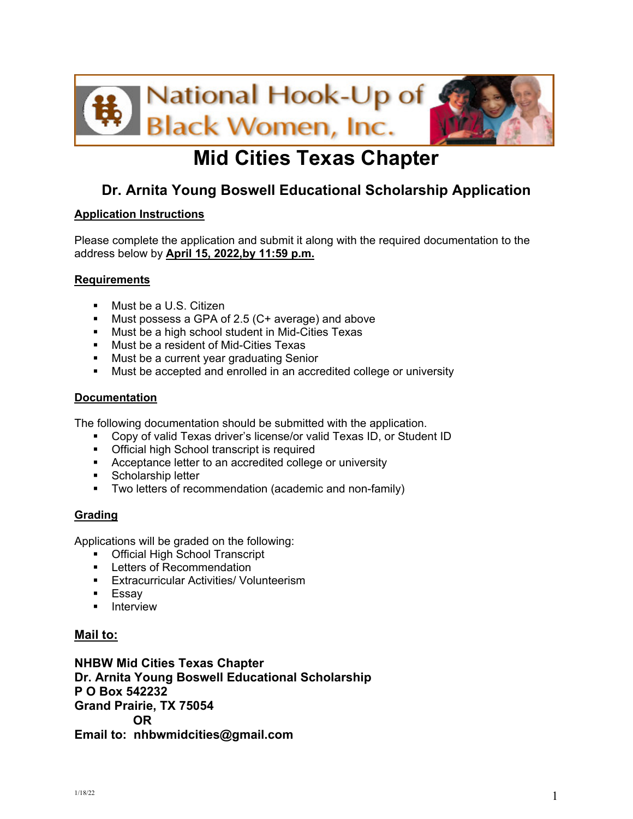

# **Mid Cities Texas Chapter**

# **Dr. Arnita Young Boswell Educational Scholarship Application**

### **Application Instructions**

Please complete the application and submit it along with the required documentation to the address below by **April 15, 2022,by 11:59 p.m.**

### **Requirements**

- **Nust be a U.S. Citizen**
- **Must possess a GPA of 2.5 (C+ average) and above**
- **Must be a high school student in Mid-Cities Texas**
- **Must be a resident of Mid-Cities Texas**
- **Must be a current year graduating Senior**
- **Must be accepted and enrolled in an accredited college or university**

### **Documentation**

The following documentation should be submitted with the application.

- Copy of valid Texas driver's license/or valid Texas ID, or Student ID
- **Official high School transcript is required**
- **Acceptance letter to an accredited college or university**
- **Scholarship letter**
- **Two letters of recommendation (academic and non-family)**

### **Grading**

Applications will be graded on the following:

- **Official High School Transcript**
- **Letters of Recommendation**
- **Extracurricular Activities/ Volunteerism**
- Essay
- **Interview**

#### **Mail to:**

**NHBW Mid Cities Texas Chapter Dr. Arnita Young Boswell Educational Scholarship P O Box 542232 Grand Prairie, TX 75054 OR Email to: nhbwmidcities@gmail.com**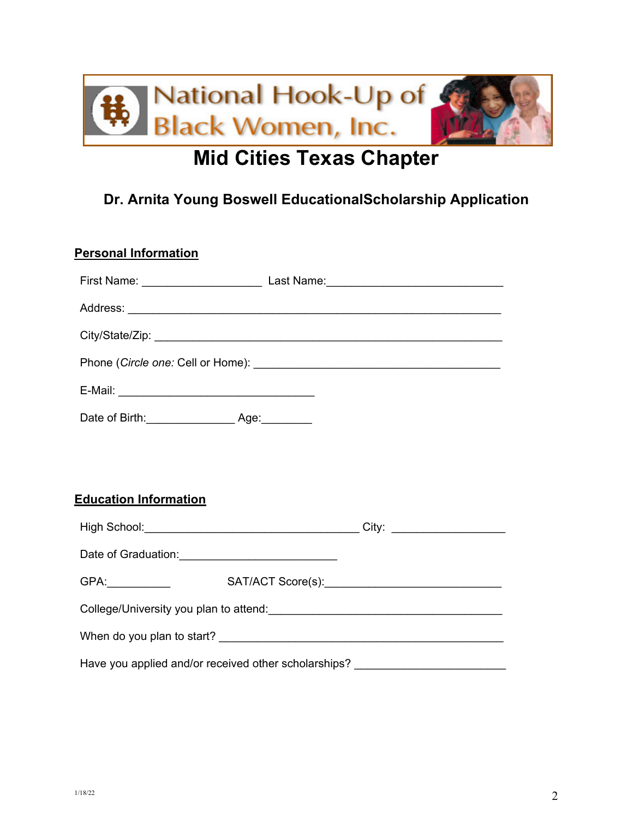

# **Mid Cities Texas Chapter**

# **Dr. Arnita Young Boswell EducationalScholarship Application**

| <b>Personal Information</b>                                                      |  |  |
|----------------------------------------------------------------------------------|--|--|
|                                                                                  |  |  |
|                                                                                  |  |  |
|                                                                                  |  |  |
|                                                                                  |  |  |
|                                                                                  |  |  |
|                                                                                  |  |  |
|                                                                                  |  |  |
|                                                                                  |  |  |
| <b>Education Information</b>                                                     |  |  |
|                                                                                  |  |  |
|                                                                                  |  |  |
|                                                                                  |  |  |
|                                                                                  |  |  |
|                                                                                  |  |  |
| Have you applied and/or received other scholarships? ___________________________ |  |  |